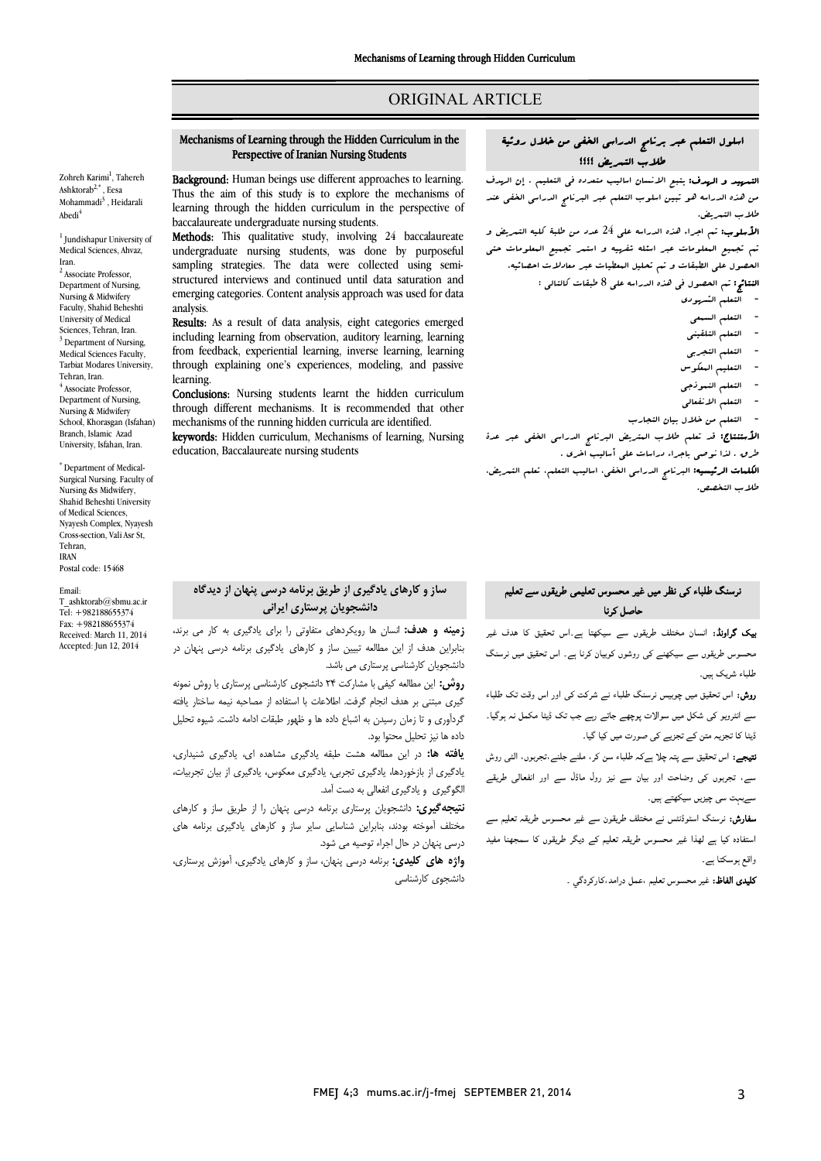# ORIGINAL ARTICLE

# Mechanisms of Learning through the Hidden Curriculum in the Perspective of Iranian Nursing Students

Ī  $\overline{a}$ 

Zohreh Karimi<sup>1</sup>, Tahereh Ashktorab2,\* , Eesa Mohammadi<sup>3</sup>, Heidarali Abedi4

<sup>1</sup> Jundishapur University of Medical Sciences, Ahvaz, Iran.

<sup>2</sup> Associate Professor, Department of Nursing, Nursing & Midwifery Faculty, Shahid Beheshti University of Medical Sciences, Tehran, Iran. <sup>3</sup> Department of Nursing Medical Sciences Faculty, Tarbiat Modares University, Tehran, Iran.  $4$  Associate Professor. Department of Nursing, Nursing & Midwifery School, Khorasgan (Isfahan) Branch, Islamic Azad University, Isfahan, Iran.

\* Department of Medical-Surgical Nursing. Faculty of Nursing &s Midwifery, Shahid Beheshti University of Medical Sciences, Nyayesh Complex, Nyayesh Cross-section, Vali Asr St, Tehran, IRAN Postal code: 15468

#### Email:

T\_ashktorab $@$ shmu.ac.ir Tel: +982188655374 Fax: +982188655374 Received: March 11, 2014 Accepted: Jun 12, 2014

Background: Human beings use different approaches to learning. **Background:** Finally beings use unfective approaches to rearring.<br>Thus the aim of this study is to explore the mechanisms of learning through the hidden curriculum in the perspective of baccalaureate undergraduate nursing students.

baccalaureate undergraduate nursing students.<br>**Methods:** This qualitative study, involving 24 baccalaureate undergraduate nursing students, was done by purposeful sampling strategies. The data were collected using semiemerging categories. Content analysis approach was used for data structured interviews and continued until data saturation and analysis.

**Results:** As a result of data analysis, eight categories emerged<br>including learning from chapterian, auditory learning learning from feedback, experiential learning, inverse learning, learning through explaining one's experiences, modeling, and passive including learning from observation, auditory learning, learning learning.

carining.<br>**Conclusions:** Nursing students learnt the hidden curriculum through different mechanisms. It is recommended that other mechanisms of the running hidden curricula are identified.

mecnanisms of the running nidden curricula are identified.<br>**keywords:** Hidden curriculum, Mechanisms of learning, Nursing education, Baccalaureate nursing students

# اسلول التعلم عبر برنامج الدراسی الخفی من خلال روئیۀ طلاب التمریض ؟؟؟؟

Ī  $\overline{a}$ 

 $\ddot{\phantom{0}}$ من هذه الدراسه هو تبین اسلوب التعلم عبر البرنامج الدراسی الخفی عند<br>طلب سالت مق التمهید و الهدف: یتبع الانسان اسالیب متعدده فی التعلیم . إن الهدف طلاب التمریض.

 الأسلوب: تم اجراء هذه الدراسه علی 24 عدد من طلبۀ کلیه التمریض و تم تجمیع المعلومات عبر اسئله شفهیه و استمر تجمیع المعلومات حتی الحصول علی الطبقات و تم تحلیل المعطیات عبر معادلات احصائیه. النتائج: تم الحصول فی هذه الدراسه علی 8 طبقات کالتالی :

- التعلم الشهودي
- التعلم السمعی
- التعلم التلقینی
- التعلم التجربی
- التعلیم المعکوس
- - التعلم النموذجی
	-
- - التعلم الانفعالی - التعلم من خلال بیان التجارب

الأستنتاج: قد تعلم طلاب المتریض البرنامج الدراسی الخفی عبر عدة

ے<br>طرق . لذا نوصی باجراء دراسات علی أسالیب اخری . ت

 الکلمات الرئیسیه: البرنامج الدراسی الخفی، اسالیب التعلم، تعلم التمریض، طلاب التخصص.

# <sub>نر</sub>سنگ طلباء کی نظر میں غیر محسوس تعلیمی طریقوں سے تعلیم حاصل کرنا

**یک گراونڈ:** انسان مختلف طریقوں سے سیکھتا ہے۔اس تحقیق کا ہدف غیر ۔<br>محسوس طریقوں سے سیکھنے کی روشوں کوبیان کرنا ہے۔ اس تحقیق میں نرسنگ طلباء شریک بس۔

ر**وش:** اس تحقیق میں چوبیس نرسنگ طلباء نے شرکت کی اور اس وقت تک طلباء ۔<br>سے انٹرویو کی شکل میں سوالات پوچھے جاتے رہے جب تک ڈیٹا مکمل نہ ہوگیا۔ ڈیٹا کا تجزیہ متن کے تجزیے ک*ی ص*ورت میں کیا گیا۔

۔<br>**نتیجے:** اس تحقیق سے پتہ چلا ہےکہ طلباء سن کر، ملنے جلنے،تجربوں، الٹی روش ۔<br>سے، تجربوں کی وضاحت اور بیان سے نیز رول ماڈل سے اور انفعالی طریقے ے۔<br>سےبہت سی چیزیں سیکھتے ہیں۔

ے ، سے بہت سے ہے ہے۔<br>**سفارش:** نرسنگ اسٹوڈنٹس نے مختلف طریقون سے غیر محسوس طریقہ تعلیم سے  $\ddot{\phantom{a}}$ ستفادہ کیا ہے لھذا غیر محسوس طریقہ تعلیم کے دیگر طریقوں کا سمجھنا مفید<br>پیم واقع ہوسکتا ہے۔

**كليدى الفاظ:** غير محسوس تعليم ،عمل درامد،كاركردگي ۔<br>.

# ساز و کارهاي یادگیري از طریق برنامه درسی پنهان از دیدگاه دانشجویان پرستاري ایرانی

 زمینه و هدف: انسان ها رویکردهاي متفاوتی را براي یادگیري به کار می برند، بنابراین هدف از این مطالعه تبیین ساز و کارهاي یادگیري برنامه درسی پنهان در دانشجویان کارشناسی پرستاري می باشد.

**روش:** این مطالعه کیفی با مشارکت ۲۴ دانشجوی کارشناسی پرستاری با روش نمونه<br>. گیري مبتنی بر هدف انجام گرفت. اطلاعات با استفاده از مصاحبه نیمه ساختار یافته داده ها نیز تحلیل محتوا بود. گردآوري و تا زمان رسیدن به اشباع داده ها و ظهور طبقات ادامه داشت. شیوه تحلیل

 یافته ها: در این مطالعه هشت طبقه یادگیري مشاهده اي، یادگیري شنیداري، یادگیري از بازخوردها، یادگیري تجربی، یادگیري معکوس، یادگیري از بیان تجربیات، الگوگیري و یادگیري انفعالی به دست آمد.

 نتیجهگیري: دانشجویان پرستاري برنامه درسی پنهان را از طریق ساز و کارهاي مختلف آموخته بودند، بنابراین شناسایی سایر ساز و کارهاي یادگیري برنامه هاي درسی پنهان در حال اجراء توصیه می شود.<br>م

**واژه هاي کليدي:** برنامه درسی پنهان، ساز و کارهاي يادگيري، آموزش پرستاري،<br>اين دانشجوي کارشناسی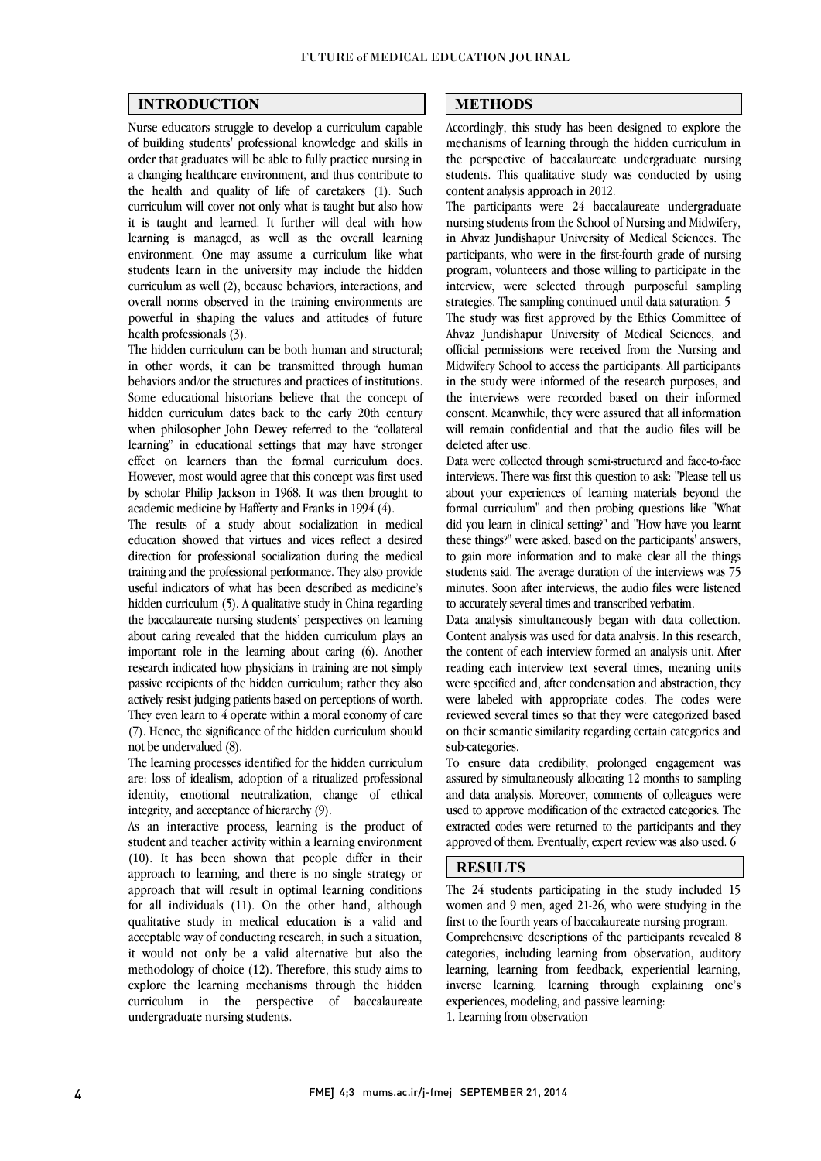$\overline{a}$  $\overline{a}$ 

#### INTRODUCTION

 Nurse educators struggle to develop a curriculum capable of building students' professional knowledge and skills in a changing healthcare environment, and thus contribute to the health and quality of life of caretakers (1). Such curriculum will cover not only what is taught but also how it is taught and learned. It further will deal with how environment. One may assume a curriculum like what students learn in the university may include the hidden curriculum as well (2), because behaviors, interactions, and overall norms observed in the training environments are powerful in shaping the values and attitudes of future health professionals (3) order that graduates will be able to fully practice nursing in learning is managed, as well as the overall learning health professionals (3).

 The hidden curriculum can be both human and structural; in other words, it can be transmitted through human behaviors and/or the structures and practices of institutions. hidden curriculum dates back to the early 20th century when philosopher John Dewey referred to the "collateral learning" in educational settings that may have stronger However, most would agree that this concept was first used by scholar Philip Jackson in 1968. It was then brought to Some educational historians believe that the concept of effect on learners than the formal curriculum does. academic medicine by Hafferty and Franks in 1994 (4).

 The results of a study about socialization in medical direction for professional socialization during the medical training and the professional performance. They also provide useful indicators of what has been described as medicine's hidden curriculum (5). A qualitative study in China regarding about caring revealed that the hidden curriculum plays an important role in the learning about caring (6). Another research indicated how physicians in training are not simply passive recipients of the hidden curriculum; rather they also They even learn to 4 operate within a moral economy of care (7). Hence, the significance of the hidden curriculum should education showed that virtues and vices reflect a desired the baccalaureate nursing students' perspectives on learning actively resist judging patients based on perceptions of worth. not be undervalued (8).

 are: loss of idealism, adoption of a ritualized professional identity, emotional neutralization, change of ethical The learning processes identified for the hidden curriculum integrity, and acceptance of hierarchy (9).

 As an interactive process, learning is the product of student and teacher activity within a learning environment<br>(10). It has been shown that people differ in their approach to learning, and there is no single strategy or approach that will result in optimal learning conditions for all individuals (11). On the other hand, although acceptable way of conducting research, in such a situation, it would not only be a valid alternative but also the methodology of choice (12). Therefore, this study aims to explore the learning mechanisms through the hidden curriculum in the perspective of baccalaureate student and teacher activity within a learning environment qualitative study in medical education is a valid and undergraduate nursing students.

#### METHODS

 Accordingly, this study has been designed to explore the mechanisms of learning through the hidden curriculum in students. This qualitative study was conducted by using Ī the perspective of baccalaureate undergraduate nursing content analysis approach in 2012.

 $\overline{a}$ 

 $\overline{a}$ 

 The participants were 24 baccalaureate undergraduate nursing students from the School of Nursing and Midwifery, participants, who were in the first-fourth grade of nursing program, volunteers and those willing to participate in the interview, were selected through purposeful sampling in Ahvaz Jundishapur University of Medical Sciences. The strategies. The sampling continued until data saturation. 5

strategies. The sampling continued until data saturation. 5<br>The study was first approved by the Ethics Committee of Ahvaz Jundishapur University of Medical Sciences, and official permissions were received from the Nursing and Midwifery School to access the participants. All participants In the study were miorined of the research purposes, and<br>the interviews were recorded based on their informed consent. Meanwhile, they were assured that all information will remain confidential and that the audio files will be in the study were informed of the research purposes, and deleted after use.

deleted after use.<br>Data were collected through semi-structured and face-to-face interviews. There was first this question to ask: "Please tell us about your experiences of learning materials beyond the formal curriculum" and then probing questions like "What did you learn in clinical setting?" and "How have you learnt to gain more information and to make clear all the things students said. The average duration of the interviews was 75 minutes. Soon after interviews, the audio files were listened these things?" were asked, based on the participants' answers, to accurately several times and transcribed verbatim.

to accurately several times and transcribed verbatim.<br>Data analysis simultaneously began with data collection. Content analysis was used for data analysis. In this research, the content of each interview formed an analysis unit. After reading each interview text several times, meaning units were specified and, after condensation and abstraction, they<br>were also local with appropriate andes. The andes were reviewed several times so that they were categorized based on their semantic similarity regarding certain categories and were labeled with appropriate codes. The codes were sub-categories.

 assured by simultaneously allocating 12 months to sampling and data analysis. Moreover, comments of colleagues were used to approve modification of the extracted categories. The extracted codes were returned to the participants and they approved of them. Eventually, expert review was also used. 6 To ensure data credibility, prolonged engagement was

### RESULTS

 The 24 students participating in the study included 15 women and 9 men, aged 21-26, who were studying in the Comprehensive descriptions of the participants revealed 8 categories, including learning from observation, auditory learning, learning from feedback, experiential learning, inverse learning, learning through explaining one's first to the fourth years of baccalaureate nursing program. experiences, modeling, and passive learning:

1. Learning from observation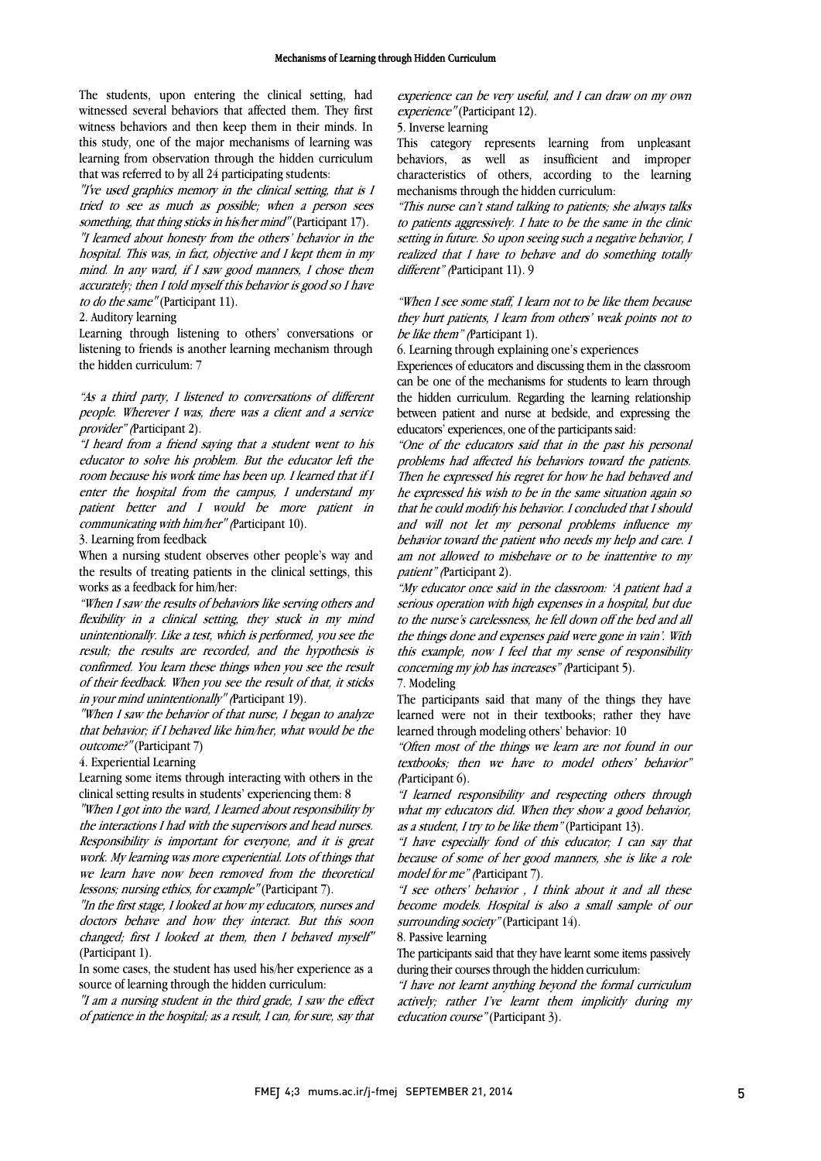The students, upon entering the clinical setting, had witnessed several behaviors that affected them. They first witness behaviors and then keep them in their minds. In this study, one of the major mechanisms of learning was learning from observation through the hidden curriculum<br>that was referred to by all 24 participating students: that was referred to by all 24 participating students:

 "I've used graphics memory in the clinical setting, that is I tried to see as much as possible; when a person sees something, that thing sticks in his/her mind" (Participant 17).

 hospital. This was, in fact, objective and I kept them in my mind. In any ward, if I saw good manners, I chose them accurately; then I told myself this behavior is good so I have "I learned about honesty from the others' behavior in the to do the same" (Participant 11).

2. Auditory learning

 Learning through listening to others' conversations or listening to friends is another learning mechanism through the hidden curriculum: 7

 "As a third party, I listened to conversations of different people. Wherever I was, there was a client and a service provider" (Participant 2).

 "I heard from a friend saying that a student went to his room because his work time has been up. I learned that if I enter the hospital from the campus, I understand my patient better and I would be more patient in educator to solve his problem. But the educator left the communicating with him/her" (Participant 10).

3. Learning from feedback

 When a nursing student observes other people's way and the results of treating patients in the clinical settings, this works as a feedback for him/her:

 "When I saw the results of behaviors like serving others and unintentionally. Like a test, which is performed, you see the result; the results are recorded, and the hypothesis is confirmed. You learn these things when you see the result of their feedback. When you see the result of that, it sticks<br>in were used validated in alle<sup>tt</sup> Pertitional 100 flexibility in a clinical setting, they stuck in my mind in your mind unintentionally" (Participant 19).

 "When I saw the behavior of that nurse, I began to analyze that behavior; if I behaved like him/her, what would be the outcome?" (Participant 7)

4. Experiential Learning

4. experiential learning<br>Learning some items through interacting with others in the clinical setting results in students' experiencing them: 8

 "When I got into the ward, I learned about responsibility by the interactions I had with the supervisors and head nurses. work. My learning was more experiential. Lots of things that we learn have now been removed from the theoretical Responsibility is important for everyone, and it is great lessons; nursing ethics, for example" (Participant 7).

 "In the first stage, I looked at how my educators, nurses and changed; first I looked at them, then I behaved myself" doctors behave and how they interact. But this soon (Participant 1).

 In some cases, the student has used his/her experience as a source of learning through the hidden curriculum:

source of learning through the hidden curriculum:<br>"I am a nursing student in the third grade, I saw the effect of patience in the hospital; as a result, I can, for sure, say that

 $\overline{a}$ experience can be very useful, and I can draw on my own<br>experience" (Participant 12). experience" (Participant 12).

5. Inverse learning

 This category represents learning from unpleasant characteristics of others, according to the learning behaviors, as well as insufficient and improper mechanisms through the hidden curriculum:

 "This nurse can't stand talking to patients; she always talks to patients aggressively. I hate to be the same in the clinic realized that I have to behave and do something totally setting in future. So upon seeing such a negative behavior, I different" (Participant 11). 9

when I see some stan, I learn hot to be like them because<br>they hurt patients, I learn from others' weak points not to "When I see some staff, I learn not to be like them because be like them" (Participant 1).

6. Learning through explaining one's experiences

 Experiences of educators and discussing them in the classroom can be one or the mechanisms for students to learn unough<br>the hidden curriculum. Regarding the learning relationship between patient and nurse at bedside, and expressing the can be one of the mechanisms for students to learn through educators' experiences, one of the participants said:

 "One of the educators said that in the past his personal Then he expressed his regret for how he had behaved and he expressed his wish to be in the same situation again so that he could modify his behavior. I concluded that I should and will not let my personal problems influence my am not allowed to misbehave or to be inattentive to my problems had affected his behaviors toward the patients. behavior toward the patient who needs my help and care. I patient" (Participant 2).

 "My educator once said in the classroom: 'A patient had a serious operation with high expenses in a hospital, but due the things done and expenses paid were gone in vain'. With this example, now I feel that my sense of responsibility to the nurse's carelessness, he fell down off the bed and all concerning my job has increases" (Participant 5).

7. Modeling

 The participants said that many of the things they have learned were not in their textbooks; rather they have learned through modeling others' behavior: 10

 "Often most of the things we learn are not found in our textbooks; then we have to model others' behavior"<br>Pertisipent  $\hat{\omega}$ (Participant 6).

 "I learned responsibility and respecting others through what my educators did. When they show a good behavior, as a student, I try to be like them" (Participant 13).

as a student, I try to be like them" (Participant 13).<br>"I have especially fond of this educator; I can say that because of some of her good manners, she is like a role model for me" (Participant 7).

 "I see others' behavior , I think about it and all these become models. Hospital is also a small sample of our surrounding society" (Participant 14). 8. Passive learning

 The participants said that they have learnt some items passively during their courses through the hidden curriculum:

 "I have not learnt anything beyond the formal curriculum actively; rather I've learnt them implicitly during my<br>education.course"(Particinant 3) education course" (Participant 3).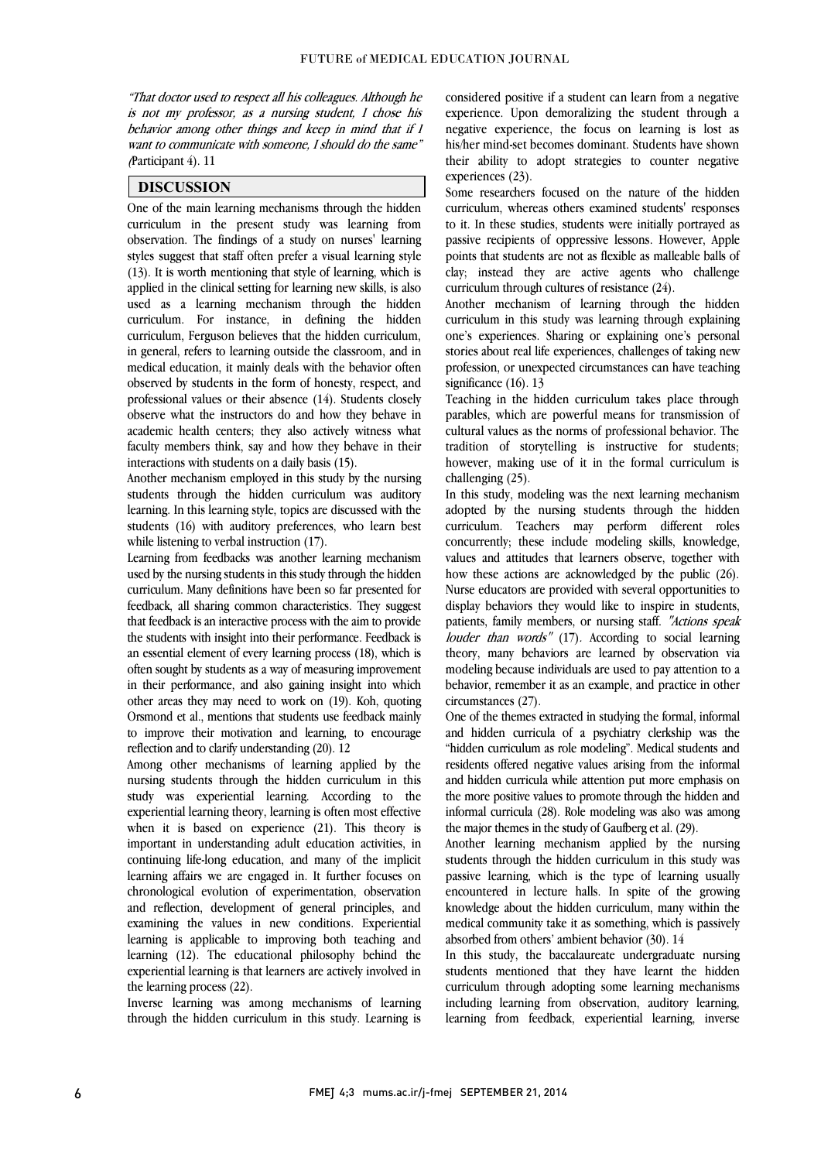"That doctor used to respect all his colleagues. Although he is not my professor, as a nursing student, I chose his behavior among other things and keep in mind that if I want to communicate with someone, I should do the same"  $\overline{a}$ (Participant 4). 11

#### DISCUSSION

 One of the main learning mechanisms through the hidden curriculum in the present study was learning from styles suggest that staff often prefer a visual learning style  $(13)$ . It is worth mentioning that style of learning, which is applied in the clinical setting for learning new skills, is also used as a learning mechanism through the hidden curriculum, Ferguson believes that the hidden curriculum, in general, refers to learning outside the classroom, and in medical education, it mainly deals with the behavior often observed by students in the form of honesty, respect, and  $\alpha$  observe what the instructors do and how they behave in academic health centers; they also actively witness what faculty members think, say and how they behave in their observation. The findings of a study on nurses' learning curriculum. For instance, in defining the hidden professional values or their absence (14). Students closely interactions with students on a daily basis (15).

interactions with students on a daily basis (15).<br>Another mechanism employed in this study by the nursing students through the hidden curriculum was auditory learning. In this learning style, topics are discussed with the students (16) with auditory preferences, who learn best while listening to verbal instruction (17).

while iistening to verbal instruction (17).<br>Learning from feedbacks was another learning mechanism used by the nursing students in this study through the hidden curriculum. Many definitions have been so far presented for feedback, all sharing common characteristics. They suggest the students with insight into their performance. Feedback is an essential element of every learning process (18), which is often sought by students as a way of measuring improvement in their performance, and also gaining insight into which Orsmond et al., mentions that students use feedback mainly to improve their motivation and learning, to encourage that feedback is an interactive process with the aim to provide other areas they may need to work on (19). Koh, quoting reflection and to clarify understanding (20). 12

 Among other mechanisms of learning applied by the study was experiential learning. According to the experiential learning theory, learning is often most effective when it is based on experience (21). This theory is important in understanding adult education activities, in learning affairs we are engaged in. It further focuses on chronological evolution of experimentation, observation and reflection, development of general principles, and examining the values in new conditions. Experiential learning (12). The educational philosophy behind the experiential learning is that learners are actively involved in nursing students through the hidden curriculum in this continuing life-long education, and many of the implicit learning is applicable to improving both teaching and the learning process (22).

 through the hidden curriculum in this study. Learning is Inverse learning was among mechanisms of learning

 considered positive if a student can learn from a negative experience. Upon demoralizing the student through a negative experience, the focus on learning is lost as his/her mind-set becomes dominant. Students have shown their ability to adopt strategies to counter negative  $\frac{1}{2}$ experiences (23).

Some researchers focused on the nature of the hidden curriculum, whereas others examined students' responses to it. In these studies, students were initially portrayed as passive recipients or oppressive ressons. However, Apple<br>points that students are not as flexible as malleable balls of clay; instead they are active agents who challenge passive recipients of oppressive lessons. However, Apple curriculum through cultures of resistance (24).

 Another mechanism of learning through the hidden one's experiences. Sharing or explaining one's personal stories about real life experiences, challenges of taking new profession, or unexpected circumstances can have teaching curriculum in this study was learning through explaining significance (16). 13

significance (10). 13<br>Teaching in the hidden curriculum takes place through parables, which are powerful means for transmission of cultural values as the norms of professional behavior. The tradition of storytelling is instructive for students; however, making use of it in the formal curriculum is challenging (25).

In this study, modeling was the next learning mechanism adopted by the nursing students through the hidden curriculum. Teachers may perform different roles concurrently; these include modeling skills, knowledge, how these actions are acknowledged by the public (26). Nurse educators are provided with several opportunities to display behaviors they would like to inspire in students, patients, rainly includers, or huising stan. *Actions speak*<br>*louder than words*" (17). According to social learning theory, many behaviors are learned by observation via modeling because individuals are used to pay attention to a behavior, remember it as an example, and practice in other values and attitudes that learners observe, together with patients, family members, or nursing staff. "Actions speak circumstances (27).

One of the themes extracted in studying the formal, informal and hidden curricula of a psychiatry clerkship was the "hidden curriculum as role modeling". Medical students and residents offered negative values arising from the informal and indicate curricula with alterntion put more emphasis on the more positive values to promote through the hidden and informal curricula (28). Role modeling was also was among and hidden curricula while attention put more emphasis on the major themes in the study of Gaufberg et al. (29).

 Another learning mechanism applied by the nursing passive learning, which is the type of learning usually encountered in lecture halls. In spite of the growing knowledge about the hidden curriculum, many within the medical community take it as something, which is passively<br>therefore there is no integral to be seen  $(20)$ ,  $1/2$ students through the hidden curriculum in this study was absorbed from others' ambient behavior (30). 14

In this study, the baccalaureate undergraduate nursing students mentioned that they have learnt the hidden curriculum through adopting some learning mechanisms learning from feedback, experiential learning, inverse including learning from observation, auditory learning,